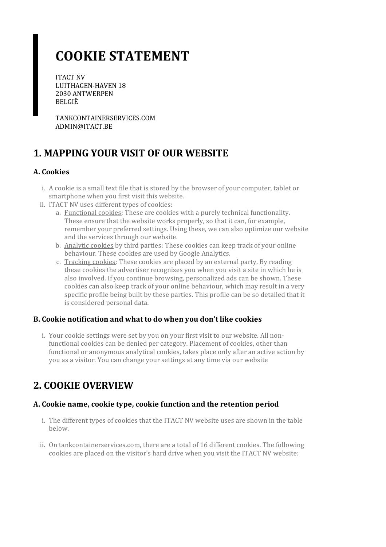# **COOKIE STATEMENT**

ITACT NV LUITHAGEN-HAVEN 18 2030 ANTWERPEN BELGIË

TANKCONTAINERSERVICES.COM ADMIN@ITACT.BE

# **1. MAPPING YOUR VISIT OF OUR WEBSITE**

### **A. Cookies**

- i. A cookie is a small text file that is stored by the browser of your computer, tablet or smartphone when you first visit this website.
- ii. ITACT NV uses different types of cookies:
	- a. Functional cookies: These are cookies with a purely technical functionality. These ensure that the website works properly, so that it can, for example, remember your preferred settings. Using these, we can also optimize our website and the services through our website.
	- b. Analytic cookies by third parties: These cookies can keep track of your online behaviour. These cookies are used by Google Analytics.
	- c. Tracking cookies: These cookies are placed by an external party. By reading these cookies the advertiser recognizes you when you visit a site in which he is also involved. If you continue browsing, personalized ads can be shown. These cookies can also keep track of your online behaviour, which may result in a very specific profile being built by these parties. This profile can be so detailed that it is considered personal data.

### **B. Cookie notification and what to do when you don't like cookies**

i. Your cookie settings were set by you on your first visit to our website. All nonfunctional cookies can be denied per category. Placement of cookies, other than functional or anonymous analytical cookies, takes place only after an active action by you as a visitor. You can change yoursettings at any time via our website

# **2. COOKIE OVERVIEW**

### **A. Cookie name,cookie type,cookie function and the retention period**

- i. The different types of cookies that the ITACT NV website uses are shown in the table below.
- ii. On tankcontainerservices.com, there are a total of 16 different cookies. The following cookies are placed on the visitor's hard drive when you visit the ITACT NV website: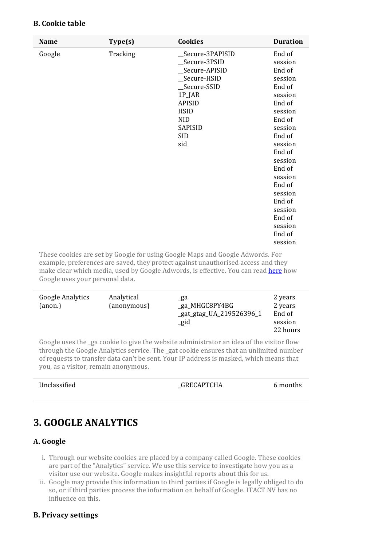| <b>Name</b> | Type(s)  | <b>Cookies</b>   | <b>Duration</b> |
|-------------|----------|------------------|-----------------|
| Google      | Tracking | _Secure-3PAPISID | End of          |
|             |          | _Secure-3PSID    | session         |
|             |          | _Secure-APISID   | End of          |
|             |          | _Secure-HSID     | session         |
|             |          | _Secure-SSID     | End of          |
|             |          | 1P_JAR           | session         |
|             |          | <b>APISID</b>    | End of          |
|             |          | <b>HSID</b>      | session         |
|             |          | <b>NID</b>       | End of          |
|             |          | SAPISID          | session         |
|             |          | <b>SID</b>       | End of          |
|             |          | sid              | session         |
|             |          |                  | End of          |
|             |          |                  | session         |
|             |          |                  | End of          |
|             |          |                  | session         |
|             |          |                  | End of          |
|             |          |                  | session         |
|             |          |                  | End of          |
|             |          |                  | session         |
|             |          |                  | End of          |
|             |          |                  | session         |
|             |          |                  | End of          |
|             |          |                  | session         |

**B. Cookie table**

These cookies are set by Google for using Google Maps and Google Adwords. For example, preferences are saved, they protect against unauthorised access and they make clear which media, used by Google Adwords, is effective. You can read [here](https://policies.google.com/technologies/partner-sites?hl=en) how Google uses your personal data.

| <b>Google Analytics</b><br>(anon.) | Analytical<br>(anonymous) | _ga<br>_ga_MHGC8PY4BG<br>_gat_gtag_UA_219526396_1<br>_gid | 2 years<br>2 years<br>End of<br>session<br>22 hours |
|------------------------------------|---------------------------|-----------------------------------------------------------|-----------------------------------------------------|
|------------------------------------|---------------------------|-----------------------------------------------------------|-----------------------------------------------------|

Google uses the \_ga cookie to give the website administrator an idea of the visitor flow through the Google Analytics service. The \_gat cookie ensures that an unlimited number ofrequests to transfer data can't be sent. YourIP address is masked, which means that you, as a visitor, remain anonymous.

| Unclassified | GRECAPTCHA | 6 months |
|--------------|------------|----------|
|              |            |          |

# **3. GOOGLE ANALYTICS**

#### **A. Google**

- i. Through our website cookies are placed by a company called Google. These cookies are part of the "Analytics" service. We use this service to investigate how you as a visitor use our website. Google makes insightful reports about this for us.
- ii. Google may provide this information to third parties if Google is legally obliged to do so, or if third parties process the information on behalf of Google. ITACT NV has no influence on this.

#### **B. Privacy settings**